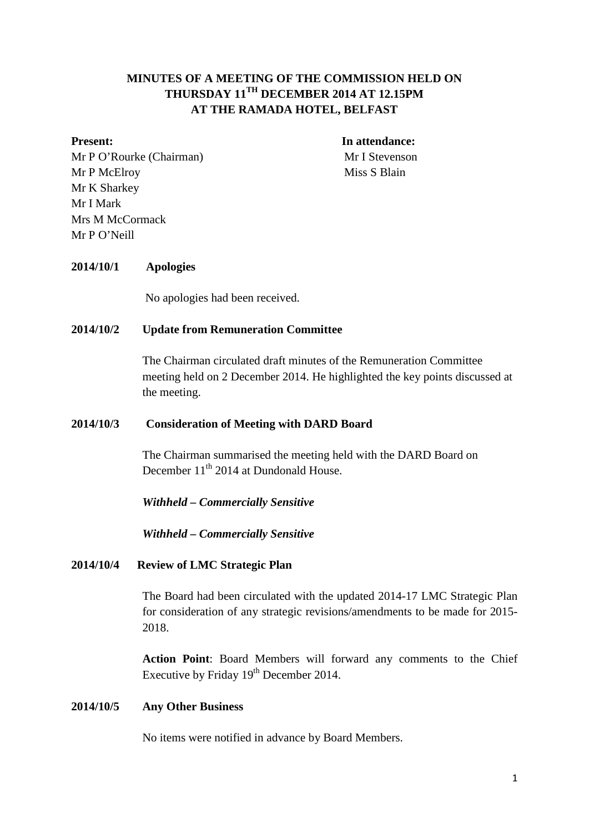## **MINUTES OF A MEETING OF THE COMMISSION HELD ON THURSDAY 11TH DECEMBER 2014 AT 12.15PM AT THE RAMADA HOTEL, BELFAST**

Mr P O'Rourke (Chairman) Mr I Stevenson Mr P McElroy Miss S Blain Mr K Sharkey Mr I Mark Mrs M McCormack Mr P O'Neill

**Present:** In attendance:

#### **2014/10/1 Apologies**

No apologies had been received.

### **2014/10/2 Update from Remuneration Committee**

The Chairman circulated draft minutes of the Remuneration Committee meeting held on 2 December 2014. He highlighted the key points discussed at the meeting.

#### **2014/10/3 Consideration of Meeting with DARD Board**

The Chairman summarised the meeting held with the DARD Board on December 11<sup>th</sup> 2014 at Dundonald House.

*Withheld – Commercially Sensitive*

*Withheld – Commercially Sensitive*

#### **2014/10/4 Review of LMC Strategic Plan**

The Board had been circulated with the updated 2014-17 LMC Strategic Plan for consideration of any strategic revisions/amendments to be made for 2015- 2018.

**Action Point**: Board Members will forward any comments to the Chief Executive by Friday  $19<sup>th</sup>$  December 2014.

#### **2014/10/5 Any Other Business**

No items were notified in advance by Board Members.